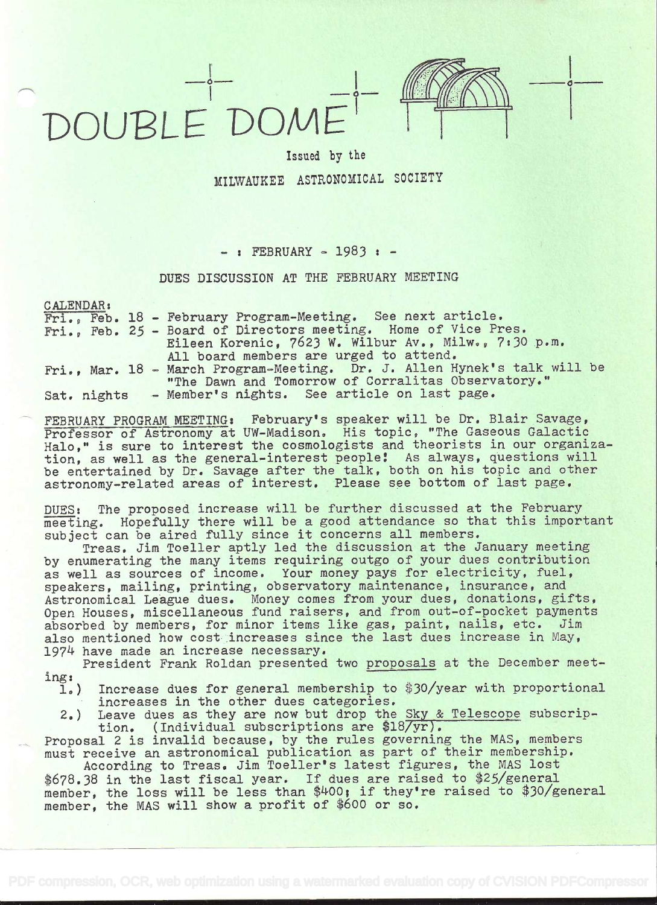## DOUBLE DOME'



**in the common** 

## Issued by the MILWAUKEE ASTRONOMICAL SOCIETY

## - : FEBRUARY - 1983 : -

## DUES DISCUSSION AT THE FEBRUARY MEETING

CALENDAR:

Fri., Feb. 18 - February Program-Meeting. See next article. Fri.. Feb. 25 - Board of Directors meeting. Home of Vice Pres. Eileen Korenic, 7623 W. Wilbur Av., Milw., 7:30 p.m. All board members are urged to attend. Fri., Mar. 18 - March Program-Meeting. Dr. J. Allen Hynek's talk will be "The Dawn and Tomorrow of Corralitas Observatory.' Sat. nights - Member's nights. See article on last page.

FEBRUARY PROGRAM MEETING: February's speaker will be Dr. Blair Savage, Professor of Astronomy at UW-Madison. His topic, "The Gaseous Galactic Halo," is sure to interest the cosmologists and theorists in our organization, as well as the general-interest people! As always, questions will be entertained by Dr. Savage after the talk, both on his topic and other astronomy-related areas of interest. Please see bottom of last page.

DUES: The proposed increase will be further discussed at the February meeting. Hopefully there will be a good attendance so that this important subject can be aired fully since it concerns all members.

Treas. Jim Toeller aptly led the discussion at the January meeting by enumerating the many items requiring outgo of your dues contribution as well as sources of income. Your money pays for electricity, fuel, speakers, mailing, printing, observatory maintenance, insurance, and Astronomical League dues. Money comes from your dues, donations, gifts, Open Houses, miscellaneous fund raisers, and from out-of-pocket payments absorbed by members, for minor items like gas, paint, nails, etc. Jim also mentioned how cost increases since the last dues increase in May, 1974 have made an increase necessary.

President Frank Roldan presented two proposals at the December meet- $\text{ing:}$ <br> $\frac{1}{1}$ 

Increase dues for general membership to \$30/year with proportional increases in the other dues categories.

2.) Leave dues as they are now but drop the Sky & Telescope subscrip tion. (Individual subscriptions are \$18/yr).

Proposal 2 is invalid because, by the rules governing the MAS, members must receive an astronomical publication as part of their membership. According to Treas. Jim Toeller's latest figures, the MAS lost

\$678.38 in the last fiscal year. If dues are raised to \$25/general member, the loss will be less than \$400; if they're raised to \$30/general member, the MAS will show a profit of \$600 or so.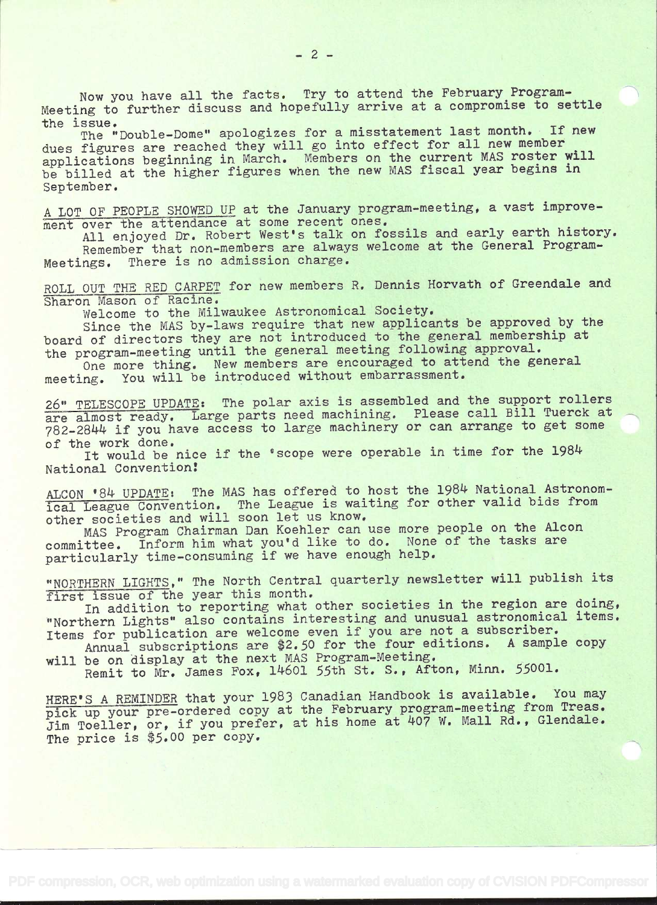Now you have all the facts. Try to attend the February Program-Meeting to further discuss and hopefully arrive at a compromise to settle the issue.

the issue. The "Double-Dome" apologizes for a misstatement last month. If new dues figures are reached they will go into effect for all new member applications beginning in March. Members on the current MAS roster will be billed at the higher figures when the new MAS fiscal year begins in September.

A LOT OF PEOPLE SHOWED UP at the January program-meeting, a vast improvement over the attendance at some recent ones.

All enjoyed Dr. Robert West's talk on fossils and early earth history. Remember that non-members are always welcome at the General Program-Meetings. There is no admission charge.

ROLL OUT THE RED CARPET for new members R. Dennis Horvath of Greendale and Sharon Mason of Racine.

Welcome to the Milwaukee Astronomical Society.

Since the MAS by-laws require that new applicants be approved by the board of directors they are not introduced to the general membership at the program-meeting until the general meeting following approval.

One more thing. New members are encouraged to attend the general meeting. You will be introduced without embarrassment.

26" TELESCOPE UPDATE: The polar axis is assembled and the support rollers are almost ready. Large parts need machining. Please call Bill Tuerck at 782-2844 if you have access to large machinery or can arrange to get some of the work done.

It would be nice if the 'scope were operable in time for the 1984 National Convention!

ALCON '84 UPDATE: The MAS has offered to host the 1984 National Astronomical League Convention. The League is waiting for other valid bids from other societies and will soon let us know.

MAS Program Chairman Dan Koehier can use more people on the Alcon committee. Inform him what you'd like to do. None of the tasks are particularly time-consuming if we have enough help.

"NORTHERN LIGHTS," The North Central quarterly newsletter will publish its first issue of the year this month.

In addition to reporting what other societies in the region are doing, "Northern Lights" also contains interesting and unusual astronomical items. Items for publication are welcome even if you are not a subscriber.

Annual subscriptions are \$2.50 for the four editions. A sample copy will be on display at the next MAS Program-Meeting.

Remit to Mr. James Fox, 14601 55th St. S., Afton, Minn. 55001.

HERE'S A REMINDER that your 1983 Canadian Handbook is available. You may pick up your pre-ordered copy at the February program-meeting from Treas. Jim Toeller, or, if you prefer, at his home at 407 W. Mall Rd., Glendale. The price is \$5.00 per copy.